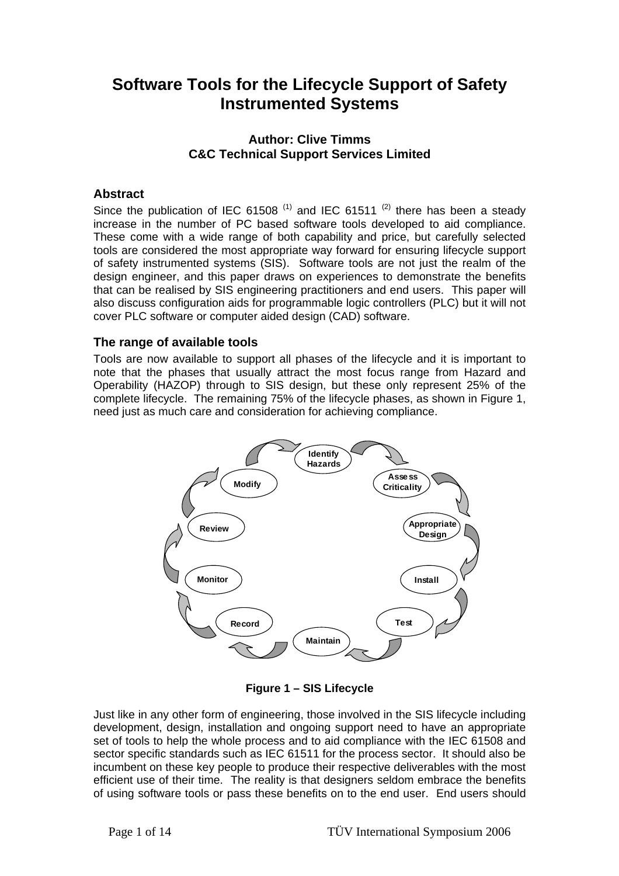# **Software Tools for the Lifecycle Support of Safety Instrumented Systems**

# **Author: Clive Timms C&C Technical Support Services Limited**

# **Abstract**

Since the publication of IEC 61508<sup>(1)</sup> and IEC 61511<sup>(2)</sup> there has been a steady increase in the number of PC based software tools developed to aid compliance. These come with a wide range of both capability and price, but carefully selected tools are considered the most appropriate way forward for ensuring lifecycle support of safety instrumented systems (SIS). Software tools are not just the realm of the design engineer, and this paper draws on experiences to demonstrate the benefits that can be realised by SIS engineering practitioners and end users. This paper will also discuss configuration aids for programmable logic controllers (PLC) but it will not cover PLC software or computer aided design (CAD) software.

## **The range of available tools**

Tools are now available to support all phases of the lifecycle and it is important to note that the phases that usually attract the most focus range from Hazard and Operability (HAZOP) through to SIS design, but these only represent 25% of the complete lifecycle. The remaining 75% of the lifecycle phases, as shown in Figure 1, need just as much care and consideration for achieving compliance.



**Figure 1 – SIS Lifecycle** 

Just like in any other form of engineering, those involved in the SIS lifecycle including development, design, installation and ongoing support need to have an appropriate set of tools to help the whole process and to aid compliance with the IEC 61508 and sector specific standards such as IEC 61511 for the process sector. It should also be incumbent on these key people to produce their respective deliverables with the most efficient use of their time. The reality is that designers seldom embrace the benefits of using software tools or pass these benefits on to the end user. End users should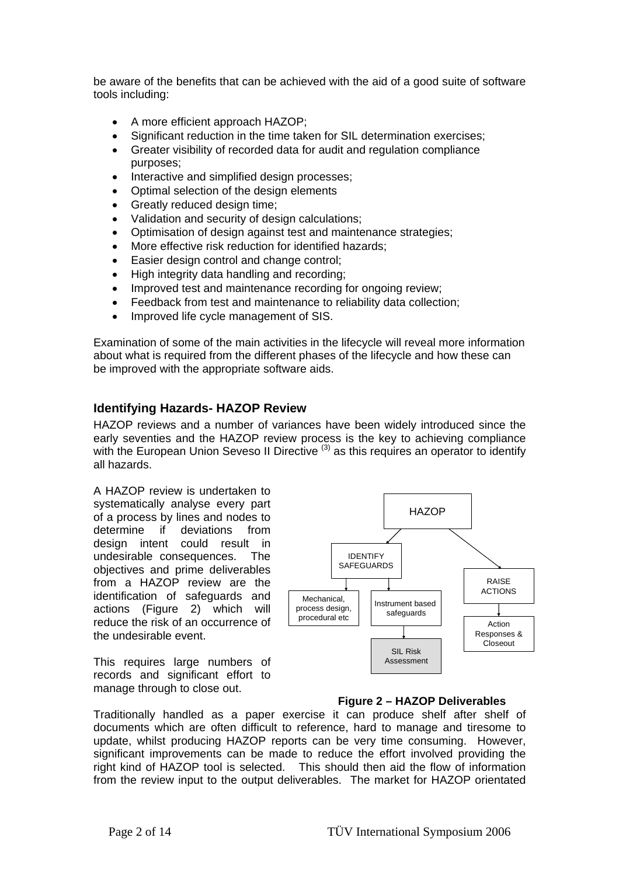be aware of the benefits that can be achieved with the aid of a good suite of software tools including:

- A more efficient approach HAZOP;
- Significant reduction in the time taken for SIL determination exercises;
- Greater visibility of recorded data for audit and regulation compliance purposes;
- Interactive and simplified design processes;
- Optimal selection of the design elements
- Greatly reduced design time:
- Validation and security of design calculations;
- Optimisation of design against test and maintenance strategies;
- More effective risk reduction for identified hazards;
- Easier design control and change control;
- High integrity data handling and recording;
- Improved test and maintenance recording for ongoing review;
- Feedback from test and maintenance to reliability data collection;
- Improved life cycle management of SIS.

Examination of some of the main activities in the lifecycle will reveal more information about what is required from the different phases of the lifecycle and how these can be improved with the appropriate software aids.

## **Identifying Hazards- HAZOP Review**

HAZOP reviews and a number of variances have been widely introduced since the early seventies and the HAZOP review process is the key to achieving compliance with the European Union Seveso II Directive<sup>(3)</sup> as this requires an operator to identify all hazards.

A HAZOP review is undertaken to systematically analyse every part of a process by lines and nodes to determine if deviations from design intent could result in undesirable consequences. The objectives and prime deliverables from a HAZOP review are the identification of safeguards and actions (Figure 2) which will reduce the risk of an occurrence of the undesirable event.

This requires large numbers of records and significant effort to manage through to close out.



#### **Figure 2 – HAZOP Deliverables**

Traditionally handled as a paper exercise it can produce shelf after shelf of documents which are often difficult to reference, hard to manage and tiresome to update, whilst producing HAZOP reports can be very time consuming. However, significant improvements can be made to reduce the effort involved providing the right kind of HAZOP tool is selected. This should then aid the flow of information from the review input to the output deliverables. The market for HAZOP orientated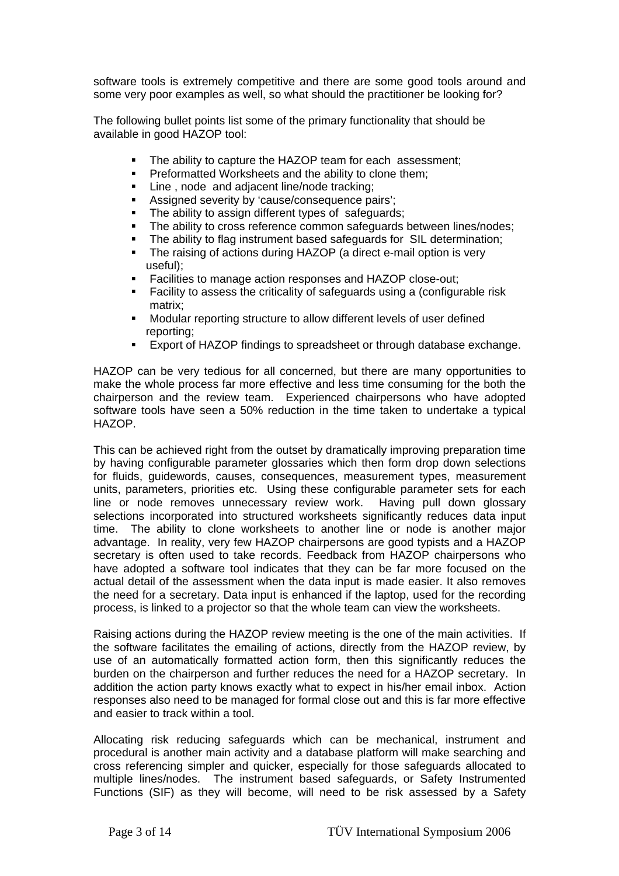software tools is extremely competitive and there are some good tools around and some very poor examples as well, so what should the practitioner be looking for?

The following bullet points list some of the primary functionality that should be available in good HAZOP tool:

- The ability to capture the HAZOP team for each assessment;
- **Preformatted Worksheets and the ability to clone them;**
- Line , node and adjacent line/node tracking;
- Assigned severity by 'cause/consequence pairs';
- The ability to assign different types of safeguards;
- The ability to cross reference common safeguards between lines/nodes;
- The ability to flag instrument based safeguards for SIL determination;
- The raising of actions during HAZOP (a direct e-mail option is very useful);
- Facilities to manage action responses and HAZOP close-out;
- Facility to assess the criticality of safeguards using a (configurable risk matrix;
- Modular reporting structure to allow different levels of user defined reporting;
- Export of HAZOP findings to spreadsheet or through database exchange.

HAZOP can be very tedious for all concerned, but there are many opportunities to make the whole process far more effective and less time consuming for the both the chairperson and the review team. Experienced chairpersons who have adopted software tools have seen a 50% reduction in the time taken to undertake a typical HAZOP.

This can be achieved right from the outset by dramatically improving preparation time by having configurable parameter glossaries which then form drop down selections for fluids, guidewords, causes, consequences, measurement types, measurement units, parameters, priorities etc. Using these configurable parameter sets for each line or node removes unnecessary review work. Having pull down glossary selections incorporated into structured worksheets significantly reduces data input time. The ability to clone worksheets to another line or node is another major advantage. In reality, very few HAZOP chairpersons are good typists and a HAZOP secretary is often used to take records. Feedback from HAZOP chairpersons who have adopted a software tool indicates that they can be far more focused on the actual detail of the assessment when the data input is made easier. It also removes the need for a secretary. Data input is enhanced if the laptop, used for the recording process, is linked to a projector so that the whole team can view the worksheets.

Raising actions during the HAZOP review meeting is the one of the main activities. If the software facilitates the emailing of actions, directly from the HAZOP review, by use of an automatically formatted action form, then this significantly reduces the burden on the chairperson and further reduces the need for a HAZOP secretary. In addition the action party knows exactly what to expect in his/her email inbox. Action responses also need to be managed for formal close out and this is far more effective and easier to track within a tool.

Allocating risk reducing safeguards which can be mechanical, instrument and procedural is another main activity and a database platform will make searching and cross referencing simpler and quicker, especially for those safeguards allocated to multiple lines/nodes. The instrument based safeguards, or Safety Instrumented Functions (SIF) as they will become, will need to be risk assessed by a Safety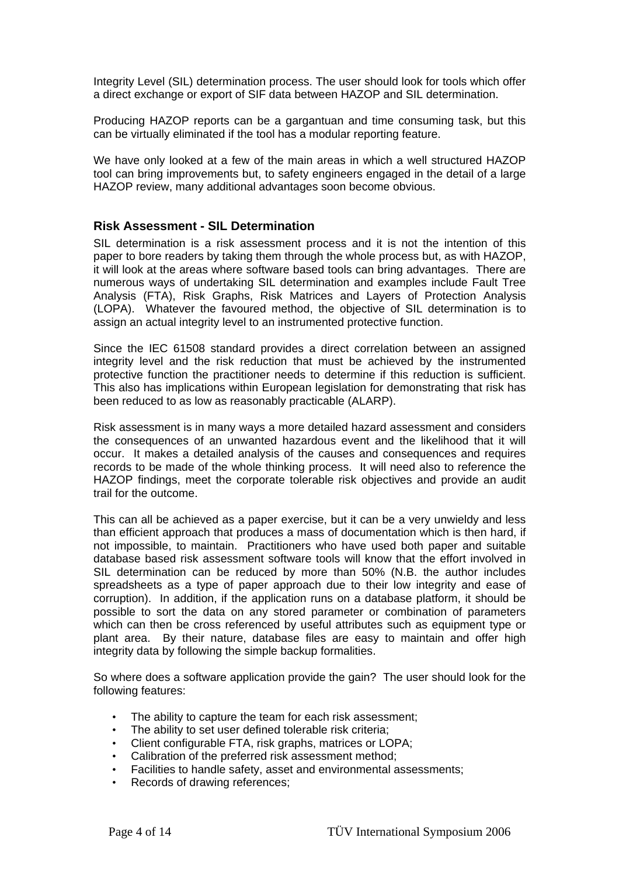Integrity Level (SIL) determination process. The user should look for tools which offer a direct exchange or export of SIF data between HAZOP and SIL determination.

Producing HAZOP reports can be a gargantuan and time consuming task, but this can be virtually eliminated if the tool has a modular reporting feature.

We have only looked at a few of the main areas in which a well structured HAZOP tool can bring improvements but, to safety engineers engaged in the detail of a large HAZOP review, many additional advantages soon become obvious.

## **Risk Assessment - SIL Determination**

SIL determination is a risk assessment process and it is not the intention of this paper to bore readers by taking them through the whole process but, as with HAZOP, it will look at the areas where software based tools can bring advantages. There are numerous ways of undertaking SIL determination and examples include Fault Tree Analysis (FTA), Risk Graphs, Risk Matrices and Layers of Protection Analysis (LOPA). Whatever the favoured method, the objective of SIL determination is to assign an actual integrity level to an instrumented protective function.

Since the IEC 61508 standard provides a direct correlation between an assigned integrity level and the risk reduction that must be achieved by the instrumented protective function the practitioner needs to determine if this reduction is sufficient. This also has implications within European legislation for demonstrating that risk has been reduced to as low as reasonably practicable (ALARP).

Risk assessment is in many ways a more detailed hazard assessment and considers the consequences of an unwanted hazardous event and the likelihood that it will occur. It makes a detailed analysis of the causes and consequences and requires records to be made of the whole thinking process. It will need also to reference the HAZOP findings, meet the corporate tolerable risk objectives and provide an audit trail for the outcome.

This can all be achieved as a paper exercise, but it can be a very unwieldy and less than efficient approach that produces a mass of documentation which is then hard, if not impossible, to maintain. Practitioners who have used both paper and suitable database based risk assessment software tools will know that the effort involved in SIL determination can be reduced by more than 50% (N.B. the author includes spreadsheets as a type of paper approach due to their low integrity and ease of corruption). In addition, if the application runs on a database platform, it should be possible to sort the data on any stored parameter or combination of parameters which can then be cross referenced by useful attributes such as equipment type or plant area. By their nature, database files are easy to maintain and offer high integrity data by following the simple backup formalities.

So where does a software application provide the gain? The user should look for the following features:

- The ability to capture the team for each risk assessment;
- The ability to set user defined tolerable risk criteria;
- Client configurable FTA, risk graphs, matrices or LOPA;
- Calibration of the preferred risk assessment method;
- Facilities to handle safety, asset and environmental assessments;
- Records of drawing references: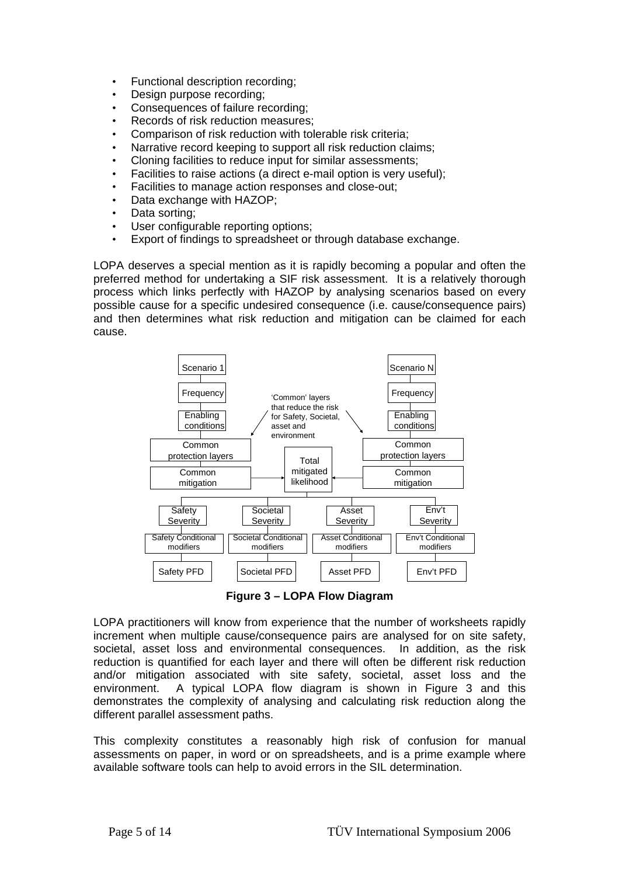- Functional description recording;
- Design purpose recording;
- Consequences of failure recording;
- Records of risk reduction measures:
- Comparison of risk reduction with tolerable risk criteria;
- Narrative record keeping to support all risk reduction claims;
- Cloning facilities to reduce input for similar assessments;
- Facilities to raise actions (a direct e-mail option is very useful);
- Facilities to manage action responses and close-out;
- Data exchange with HAZOP;
- Data sorting;
- User configurable reporting options;
- Export of findings to spreadsheet or through database exchange.

LOPA deserves a special mention as it is rapidly becoming a popular and often the preferred method for undertaking a SIF risk assessment. It is a relatively thorough process which links perfectly with HAZOP by analysing scenarios based on every possible cause for a specific undesired consequence (i.e. cause/consequence pairs) and then determines what risk reduction and mitigation can be claimed for each cause.



**Figure 3 – LOPA Flow Diagram**

LOPA practitioners will know from experience that the number of worksheets rapidly increment when multiple cause/consequence pairs are analysed for on site safety, societal, asset loss and environmental consequences. In addition, as the risk reduction is quantified for each layer and there will often be different risk reduction and/or mitigation associated with site safety, societal, asset loss and the environment. A typical LOPA flow diagram is shown in Figure 3 and this demonstrates the complexity of analysing and calculating risk reduction along the different parallel assessment paths.

This complexity constitutes a reasonably high risk of confusion for manual assessments on paper, in word or on spreadsheets, and is a prime example where available software tools can help to avoid errors in the SIL determination.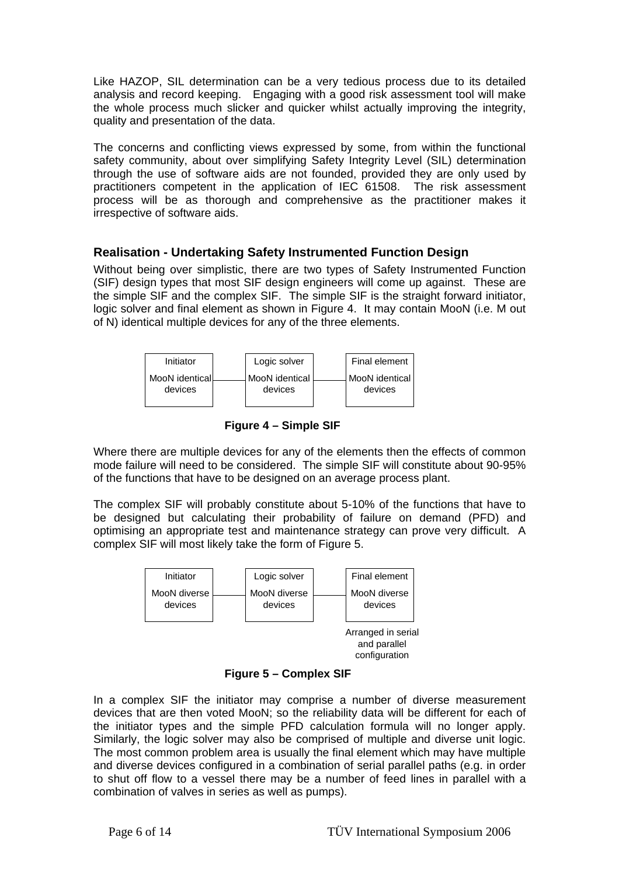Like HAZOP, SIL determination can be a very tedious process due to its detailed analysis and record keeping. Engaging with a good risk assessment tool will make the whole process much slicker and quicker whilst actually improving the integrity, quality and presentation of the data.

The concerns and conflicting views expressed by some, from within the functional safety community, about over simplifying Safety Integrity Level (SIL) determination through the use of software aids are not founded, provided they are only used by practitioners competent in the application of IEC 61508. The risk assessment process will be as thorough and comprehensive as the practitioner makes it irrespective of software aids.

# **Realisation - Undertaking Safety Instrumented Function Design**

Without being over simplistic, there are two types of Safety Instrumented Function (SIF) design types that most SIF design engineers will come up against. These are the simple SIF and the complex SIF. The simple SIF is the straight forward initiator, logic solver and final element as shown in Figure 4. It may contain MooN (i.e. M out of N) identical multiple devices for any of the three elements.



**Figure 4 – Simple SIF** 

Where there are multiple devices for any of the elements then the effects of common mode failure will need to be considered. The simple SIF will constitute about 90-95% of the functions that have to be designed on an average process plant.

The complex SIF will probably constitute about 5-10% of the functions that have to be designed but calculating their probability of failure on demand (PFD) and optimising an appropriate test and maintenance strategy can prove very difficult. A complex SIF will most likely take the form of Figure 5.





In a complex SIF the initiator may comprise a number of diverse measurement devices that are then voted MooN; so the reliability data will be different for each of the initiator types and the simple PFD calculation formula will no longer apply. Similarly, the logic solver may also be comprised of multiple and diverse unit logic. The most common problem area is usually the final element which may have multiple and diverse devices configured in a combination of serial parallel paths (e.g. in order to shut off flow to a vessel there may be a number of feed lines in parallel with a combination of valves in series as well as pumps).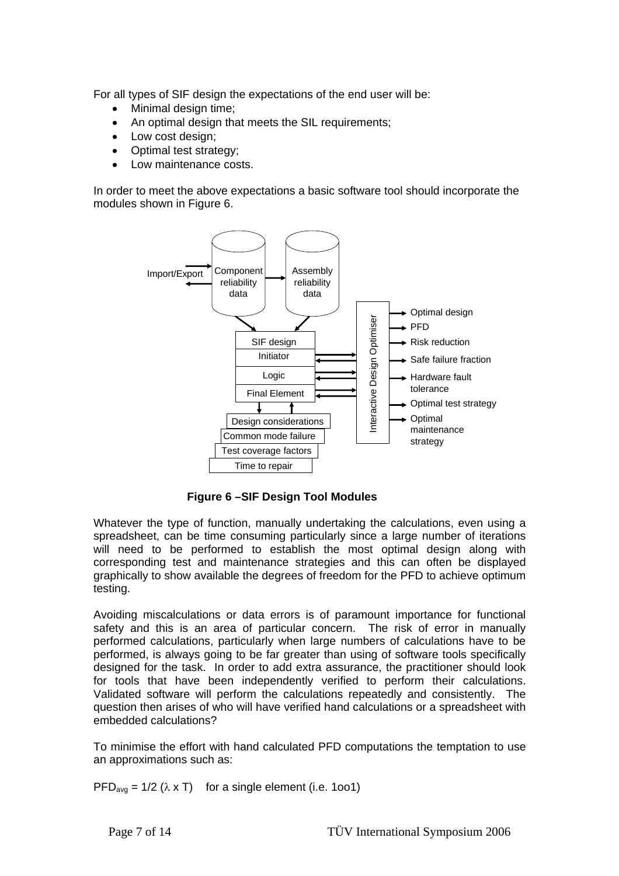For all types of SIF design the expectations of the end user will be:

- Minimal design time;
- An optimal design that meets the SIL requirements:
- Low cost design;
- Optimal test strategy;
- Low maintenance costs.

In order to meet the above expectations a basic software tool should incorporate the modules shown in Figure 6.



**Figure 6 –SIF Design Tool Modules** 

Whatever the type of function, manually undertaking the calculations, even using a spreadsheet, can be time consuming particularly since a large number of iterations will need to be performed to establish the most optimal design along with corresponding test and maintenance strategies and this can often be displayed graphically to show available the degrees of freedom for the PFD to achieve optimum testing.

Avoiding miscalculations or data errors is of paramount importance for functional safety and this is an area of particular concern. The risk of error in manually performed calculations, particularly when large numbers of calculations have to be performed, is always going to be far greater than using of software tools specifically designed for the task. In order to add extra assurance, the practitioner should look for tools that have been independently verified to perform their calculations. Validated software will perform the calculations repeatedly and consistently. The question then arises of who will have verified hand calculations or a spreadsheet with embedded calculations?

To minimise the effort with hand calculated PFD computations the temptation to use an approximations such as:

PFD<sub>avg</sub> =  $1/2$  ( $\lambda$  x T) for a single element (i.e. 1001)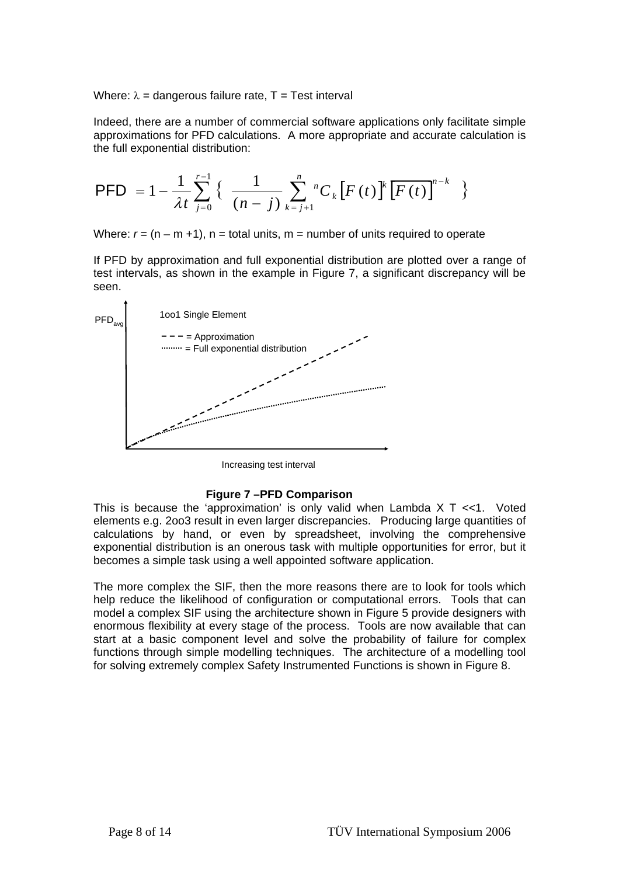Where:  $\lambda$  = dangerous failure rate, T = Test interval

Indeed, there are a number of commercial software applications only facilitate simple approximations for PFD calculations. A more appropriate and accurate calculation is the full exponential distribution:

$$
\text{PFD} = 1 - \frac{1}{\lambda t} \sum_{j=0}^{r-1} \left\{ \frac{1}{(n-j)} \sum_{k=j+1}^{n} C_k \left[ F(t) \right]^{k} \left[ F(t) \right]^{n-k} \right\}
$$

Where:  $r = (n - m + 1)$ ,  $n =$  total units,  $m =$  number of units required to operate

If PFD by approximation and full exponential distribution are plotted over a range of test intervals, as shown in the example in Figure 7, a significant discrepancy will be seen.



Increasing test interval

#### **Figure 7 –PFD Comparison**

This is because the 'approximation' is only valid when Lambda  $X$  T <<1. Voted elements e.g. 2oo3 result in even larger discrepancies. Producing large quantities of calculations by hand, or even by spreadsheet, involving the comprehensive exponential distribution is an onerous task with multiple opportunities for error, but it becomes a simple task using a well appointed software application.

The more complex the SIF, then the more reasons there are to look for tools which help reduce the likelihood of configuration or computational errors. Tools that can model a complex SIF using the architecture shown in Figure 5 provide designers with enormous flexibility at every stage of the process. Tools are now available that can start at a basic component level and solve the probability of failure for complex functions through simple modelling techniques. The architecture of a modelling tool for solving extremely complex Safety Instrumented Functions is shown in Figure 8.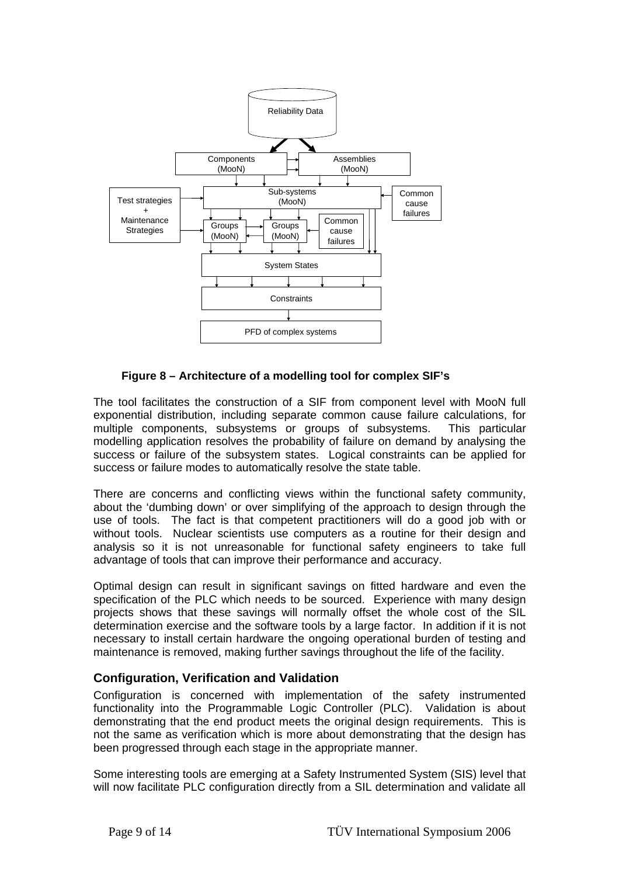

## **Figure 8 – Architecture of a modelling tool for complex SIF's**

The tool facilitates the construction of a SIF from component level with MooN full exponential distribution, including separate common cause failure calculations, for multiple components, subsystems or groups of subsystems. This particular modelling application resolves the probability of failure on demand by analysing the success or failure of the subsystem states. Logical constraints can be applied for success or failure modes to automatically resolve the state table.

There are concerns and conflicting views within the functional safety community, about the 'dumbing down' or over simplifying of the approach to design through the use of tools. The fact is that competent practitioners will do a good job with or without tools. Nuclear scientists use computers as a routine for their design and analysis so it is not unreasonable for functional safety engineers to take full advantage of tools that can improve their performance and accuracy.

Optimal design can result in significant savings on fitted hardware and even the specification of the PLC which needs to be sourced. Experience with many design projects shows that these savings will normally offset the whole cost of the SIL determination exercise and the software tools by a large factor. In addition if it is not necessary to install certain hardware the ongoing operational burden of testing and maintenance is removed, making further savings throughout the life of the facility.

# **Configuration, Verification and Validation**

Configuration is concerned with implementation of the safety instrumented functionality into the Programmable Logic Controller (PLC). Validation is about demonstrating that the end product meets the original design requirements. This is not the same as verification which is more about demonstrating that the design has been progressed through each stage in the appropriate manner.

Some interesting tools are emerging at a Safety Instrumented System (SIS) level that will now facilitate PLC configuration directly from a SIL determination and validate all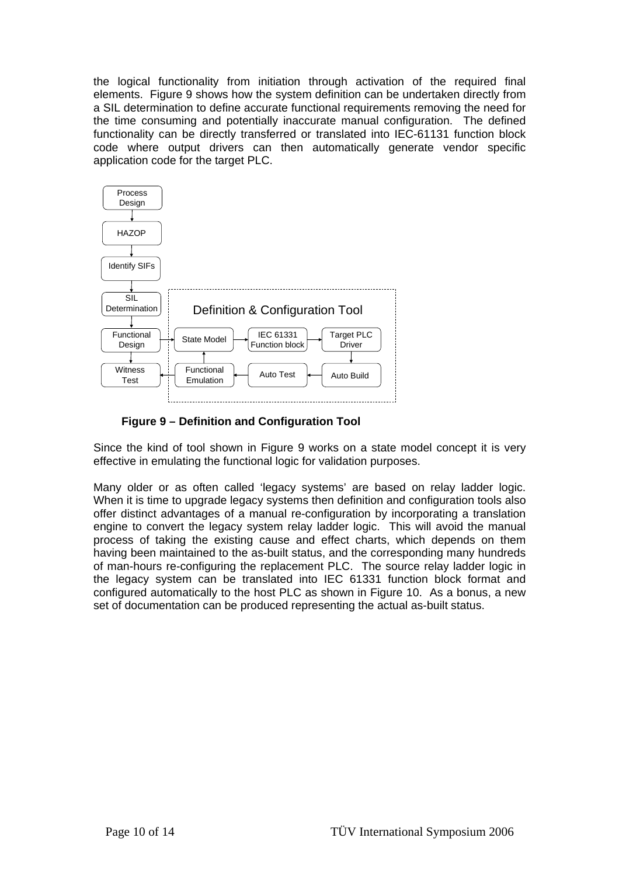the logical functionality from initiation through activation of the required final elements. Figure 9 shows how the system definition can be undertaken directly from a SIL determination to define accurate functional requirements removing the need for the time consuming and potentially inaccurate manual configuration. The defined functionality can be directly transferred or translated into IEC-61131 function block code where output drivers can then automatically generate vendor specific application code for the target PLC.



**Figure 9 – Definition and Configuration Tool** 

Since the kind of tool shown in Figure 9 works on a state model concept it is very effective in emulating the functional logic for validation purposes.

Many older or as often called 'legacy systems' are based on relay ladder logic. When it is time to upgrade legacy systems then definition and configuration tools also offer distinct advantages of a manual re-configuration by incorporating a translation engine to convert the legacy system relay ladder logic. This will avoid the manual process of taking the existing cause and effect charts, which depends on them having been maintained to the as-built status, and the corresponding many hundreds of man-hours re-configuring the replacement PLC. The source relay ladder logic in the legacy system can be translated into IEC 61331 function block format and configured automatically to the host PLC as shown in Figure 10. As a bonus, a new set of documentation can be produced representing the actual as-built status.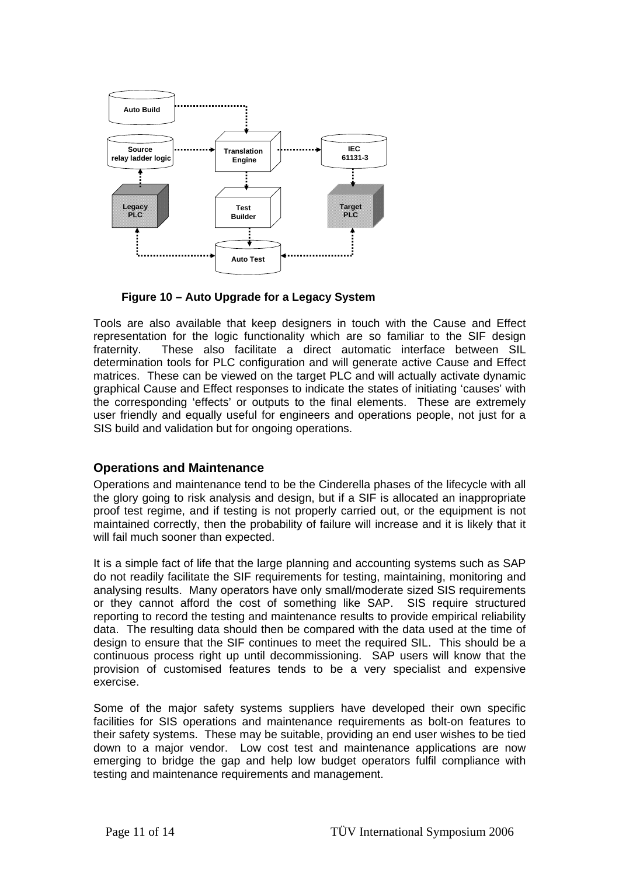

**Figure 10 – Auto Upgrade for a Legacy System** 

Tools are also available that keep designers in touch with the Cause and Effect representation for the logic functionality which are so familiar to the SIF design fraternity. These also facilitate a direct automatic interface between SIL determination tools for PLC configuration and will generate active Cause and Effect matrices. These can be viewed on the target PLC and will actually activate dynamic graphical Cause and Effect responses to indicate the states of initiating 'causes' with the corresponding 'effects' or outputs to the final elements. These are extremely user friendly and equally useful for engineers and operations people, not just for a SIS build and validation but for ongoing operations.

## **Operations and Maintenance**

Operations and maintenance tend to be the Cinderella phases of the lifecycle with all the glory going to risk analysis and design, but if a SIF is allocated an inappropriate proof test regime, and if testing is not properly carried out, or the equipment is not maintained correctly, then the probability of failure will increase and it is likely that it will fail much sooner than expected.

It is a simple fact of life that the large planning and accounting systems such as SAP do not readily facilitate the SIF requirements for testing, maintaining, monitoring and analysing results. Many operators have only small/moderate sized SIS requirements or they cannot afford the cost of something like SAP. SIS require structured reporting to record the testing and maintenance results to provide empirical reliability data. The resulting data should then be compared with the data used at the time of design to ensure that the SIF continues to meet the required SIL. This should be a continuous process right up until decommissioning. SAP users will know that the provision of customised features tends to be a very specialist and expensive exercise.

Some of the major safety systems suppliers have developed their own specific facilities for SIS operations and maintenance requirements as bolt-on features to their safety systems. These may be suitable, providing an end user wishes to be tied down to a major vendor. Low cost test and maintenance applications are now emerging to bridge the gap and help low budget operators fulfil compliance with testing and maintenance requirements and management.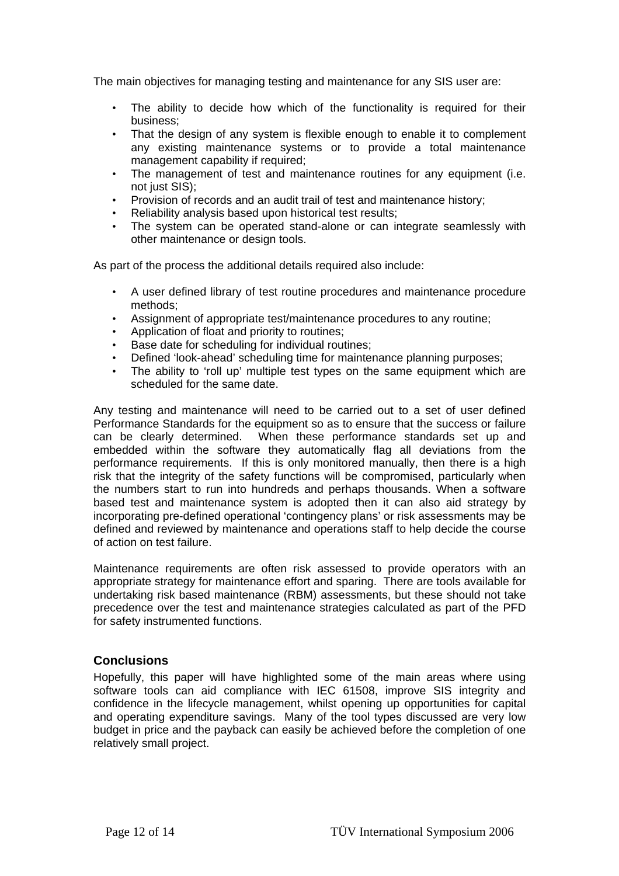The main objectives for managing testing and maintenance for any SIS user are:

- The ability to decide how which of the functionality is required for their business;
- That the design of any system is flexible enough to enable it to complement any existing maintenance systems or to provide a total maintenance management capability if required;
- The management of test and maintenance routines for any equipment (i.e. not just SIS):
- Provision of records and an audit trail of test and maintenance history;
- Reliability analysis based upon historical test results;
- The system can be operated stand-alone or can integrate seamlessly with other maintenance or design tools.

As part of the process the additional details required also include:

- A user defined library of test routine procedures and maintenance procedure methods;
- Assignment of appropriate test/maintenance procedures to any routine;
- Application of float and priority to routines;
- Base date for scheduling for individual routines;
- Defined 'look-ahead' scheduling time for maintenance planning purposes;
- The ability to 'roll up' multiple test types on the same equipment which are scheduled for the same date.

Any testing and maintenance will need to be carried out to a set of user defined Performance Standards for the equipment so as to ensure that the success or failure can be clearly determined. When these performance standards set up and embedded within the software they automatically flag all deviations from the performance requirements. If this is only monitored manually, then there is a high risk that the integrity of the safety functions will be compromised, particularly when the numbers start to run into hundreds and perhaps thousands. When a software based test and maintenance system is adopted then it can also aid strategy by incorporating pre-defined operational 'contingency plans' or risk assessments may be defined and reviewed by maintenance and operations staff to help decide the course of action on test failure.

Maintenance requirements are often risk assessed to provide operators with an appropriate strategy for maintenance effort and sparing. There are tools available for undertaking risk based maintenance (RBM) assessments, but these should not take precedence over the test and maintenance strategies calculated as part of the PFD for safety instrumented functions.

## **Conclusions**

Hopefully, this paper will have highlighted some of the main areas where using software tools can aid compliance with IEC 61508, improve SIS integrity and confidence in the lifecycle management, whilst opening up opportunities for capital and operating expenditure savings. Many of the tool types discussed are very low budget in price and the payback can easily be achieved before the completion of one relatively small project.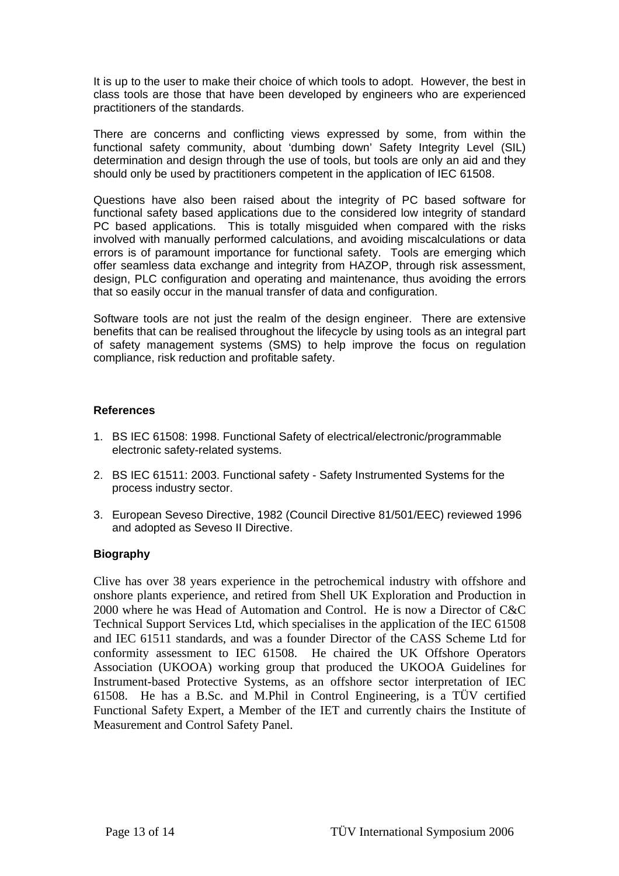It is up to the user to make their choice of which tools to adopt. However, the best in class tools are those that have been developed by engineers who are experienced practitioners of the standards.

There are concerns and conflicting views expressed by some, from within the functional safety community, about 'dumbing down' Safety Integrity Level (SIL) determination and design through the use of tools, but tools are only an aid and they should only be used by practitioners competent in the application of IEC 61508.

Questions have also been raised about the integrity of PC based software for functional safety based applications due to the considered low integrity of standard PC based applications. This is totally misguided when compared with the risks involved with manually performed calculations, and avoiding miscalculations or data errors is of paramount importance for functional safety. Tools are emerging which offer seamless data exchange and integrity from HAZOP, through risk assessment, design, PLC configuration and operating and maintenance, thus avoiding the errors that so easily occur in the manual transfer of data and configuration.

Software tools are not just the realm of the design engineer. There are extensive benefits that can be realised throughout the lifecycle by using tools as an integral part of safety management systems (SMS) to help improve the focus on regulation compliance, risk reduction and profitable safety.

## **References**

- 1. BS IEC 61508: 1998. Functional Safety of electrical/electronic/programmable electronic safety-related systems.
- 2. BS IEC 61511: 2003. Functional safety Safety Instrumented Systems for the process industry sector.
- 3. European Seveso Directive, 1982 (Council Directive 81/501/EEC) reviewed 1996 and adopted as Seveso II Directive.

## **Biography**

Clive has over 38 years experience in the petrochemical industry with offshore and onshore plants experience, and retired from Shell UK Exploration and Production in 2000 where he was Head of Automation and Control. He is now a Director of C&C Technical Support Services Ltd, which specialises in the application of the IEC 61508 and IEC 61511 standards, and was a founder Director of the CASS Scheme Ltd for conformity assessment to IEC 61508. He chaired the UK Offshore Operators Association (UKOOA) working group that produced the UKOOA Guidelines for Instrument-based Protective Systems, as an offshore sector interpretation of IEC 61508. He has a B.Sc. and M.Phil in Control Engineering, is a TÜV certified Functional Safety Expert, a Member of the IET and currently chairs the Institute of Measurement and Control Safety Panel.